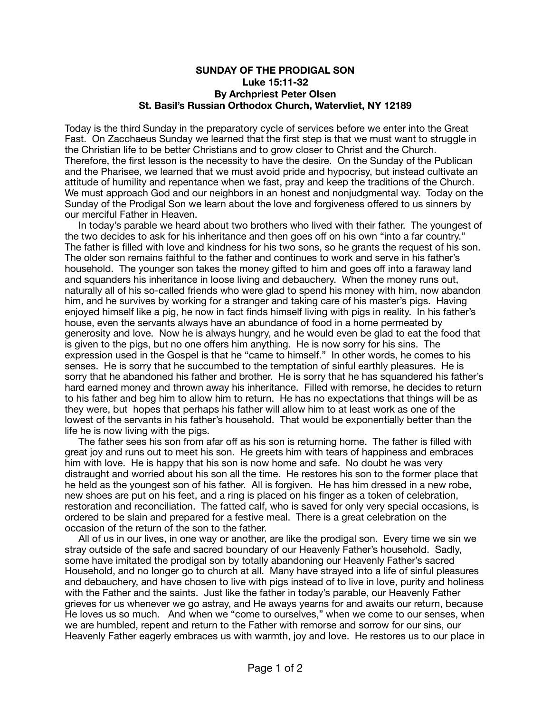## **SUNDAY OF THE PRODIGAL SON Luke 15:11-32 By Archpriest Peter Olsen St. Basil's Russian Orthodox Church, Watervliet, NY 12189**

Today is the third Sunday in the preparatory cycle of services before we enter into the Great Fast. On Zacchaeus Sunday we learned that the first step is that we must want to struggle in the Christian life to be better Christians and to grow closer to Christ and the Church. Therefore, the first lesson is the necessity to have the desire. On the Sunday of the Publican and the Pharisee, we learned that we must avoid pride and hypocrisy, but instead cultivate an attitude of humility and repentance when we fast, pray and keep the traditions of the Church. We must approach God and our neighbors in an honest and nonjudgmental way. Today on the Sunday of the Prodigal Son we learn about the love and forgiveness offered to us sinners by our merciful Father in Heaven.

 In today's parable we heard about two brothers who lived with their father. The youngest of the two decides to ask for his inheritance and then goes off on his own "into a far country." The father is filled with love and kindness for his two sons, so he grants the request of his son. The older son remains faithful to the father and continues to work and serve in his father's household. The younger son takes the money gifted to him and goes off into a faraway land and squanders his inheritance in loose living and debauchery. When the money runs out, naturally all of his so-called friends who were glad to spend his money with him, now abandon him, and he survives by working for a stranger and taking care of his master's pigs. Having enjoyed himself like a pig, he now in fact finds himself living with pigs in reality. In his father's house, even the servants always have an abundance of food in a home permeated by generosity and love. Now he is always hungry, and he would even be glad to eat the food that is given to the pigs, but no one offers him anything. He is now sorry for his sins. The expression used in the Gospel is that he "came to himself." In other words, he comes to his senses. He is sorry that he succumbed to the temptation of sinful earthly pleasures. He is sorry that he abandoned his father and brother. He is sorry that he has squandered his father's hard earned money and thrown away his inheritance. Filled with remorse, he decides to return to his father and beg him to allow him to return. He has no expectations that things will be as they were, but hopes that perhaps his father will allow him to at least work as one of the lowest of the servants in his father's household. That would be exponentially better than the life he is now living with the pigs.

 The father sees his son from afar off as his son is returning home. The father is filled with great joy and runs out to meet his son. He greets him with tears of happiness and embraces him with love. He is happy that his son is now home and safe. No doubt he was very distraught and worried about his son all the time. He restores his son to the former place that he held as the youngest son of his father. All is forgiven. He has him dressed in a new robe, new shoes are put on his feet, and a ring is placed on his finger as a token of celebration, restoration and reconciliation. The fatted calf, who is saved for only very special occasions, is ordered to be slain and prepared for a festive meal. There is a great celebration on the occasion of the return of the son to the father.

 All of us in our lives, in one way or another, are like the prodigal son. Every time we sin we stray outside of the safe and sacred boundary of our Heavenly Father's household. Sadly, some have imitated the prodigal son by totally abandoning our Heavenly Father's sacred Household, and no longer go to church at all. Many have strayed into a life of sinful pleasures and debauchery, and have chosen to live with pigs instead of to live in love, purity and holiness with the Father and the saints. Just like the father in today's parable, our Heavenly Father grieves for us whenever we go astray, and He aways yearns for and awaits our return, because He loves us so much. And when we "come to ourselves," when we come to our senses, when we are humbled, repent and return to the Father with remorse and sorrow for our sins, our Heavenly Father eagerly embraces us with warmth, joy and love. He restores us to our place in